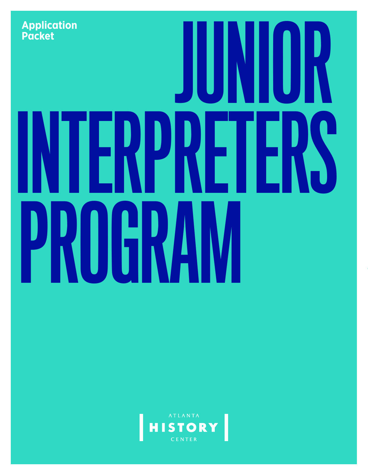

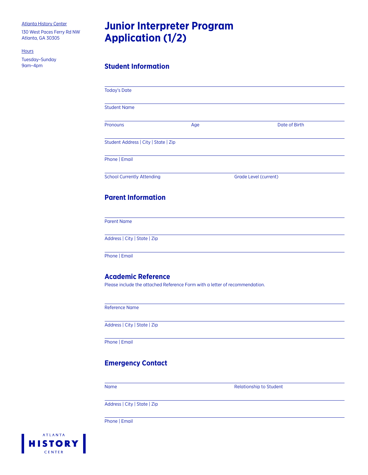130 West Paces Ferry Rd NW Atlanta, GA 30305

**Hours** 

Tuesday–Sunday 9am–4pm

# **Junior Interpreter Program Application (1/2)**

# **Student Information**

| <b>Today's Date</b>                  |     |                       |  |
|--------------------------------------|-----|-----------------------|--|
| <b>Student Name</b>                  |     |                       |  |
| Pronouns                             | Age | Date of Birth         |  |
| Student Address   City   State   Zip |     |                       |  |
| Phone   Email                        |     |                       |  |
| <b>School Currently Attending</b>    |     | Grade Level (current) |  |
| <b>Parent Information</b>            |     |                       |  |
| <b>Parent Name</b>                   |     |                       |  |
| Address   City   State   Zip         |     |                       |  |
| Phone   Email                        |     |                       |  |

# **Academic Reference**

Please include the attached Reference Form with a letter of recommendation.

Reference Name

Address | City | State | Zip

Phone | Email

# **Emergency Contact**

Name Relationship to Student

Address | City | State | Zip

Phone | Email

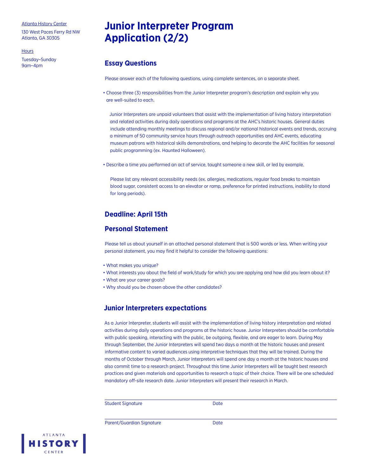130 West Paces Ferry Rd NW Atlanta, GA 30305

**Hours** 

Tuesday–Sunday 9am–4pm

# **Junior Interpreter Program Application (2/2)**

# **Essay Questions**

Please answer each of the following questions, using complete sentences, on a separate sheet.

• Choose three (3) responsibilities from the Junior Interpreter program's description and explain why you are well-suited to each.

Junior Interpreters are unpaid volunteers that assist with the implementation of living history interpretation and related activities during daily operations and programs at the AHC's historic houses. General duties include attending monthly meetings to discuss regional and/or national historical events and trends, accruing a minimum of 50 community service hours through outreach opportunities and AHC events, educating museum patrons with historical skills demonstrations, and helping to decorate the AHC facilities for seasonal public programming (ex. Haunted Halloween).

• Describe a time you performed an act of service, taught someone a new skill, or led by example.

Please list any relevant accessibility needs (ex. allergies, medications, regular food breaks to maintain blood sugar, consistent access to an elevator or ramp, preference for printed instructions, inability to stand for long periods).

# **Deadline: April 15th**

# **Personal Statement**

Please tell us about yourself in an attached personal statement that is 500 words or less. When writing your personal statement, you may find it helpful to consider the following questions:

- What makes you unique?
- What interests you about the field of work/study for which you are applying and how did you learn about it?
- What are your career goals?
- Why should you be chosen above the other candidates?

## **Junior Interpreters expectations**

As a Junior Interpreter, students will assist with the implementation of living history interpretation and related activities during daily operations and programs at the historic house. Junior Interpreters should be comfortable with public speaking, interacting with the public, be outgoing, flexible, and are eager to learn. During May through September, the Junior Interpreters will spend two days a month at the historic houses and present informative content to varied audiences using interpretive techniques that they will be trained. During the months of October through March, Junior Interpreters will spend one day a month at the historic houses and also commit time to a research project. Throughout this time Junior Interpreters will be taught best research practices and given materials and opportunities to research a topic of their choice. There will be one scheduled mandatory off-site research date. Junior Interpreters will present their research in March.

Student Signature Date

Parent/Guardian Signature **Date** Date

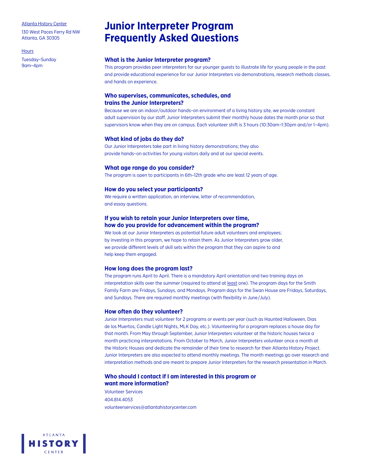130 West Paces Ferry Rd NW Atlanta, GA 30305

**Hours** 

Tuesday–Sunday 9am–4pm

# **Junior Interpreter Program Frequently Asked Questions**

## **What is the Junior Interpreter program?**

This program provides peer interpreters for our younger guests to illustrate life for young people in the past and provide educational experience for our Junior Interpreters via demonstrations, research methods classes, and hands on experience.

## **Who supervises, communicates, schedules, and trains the Junior Interpreters?**

Because we are an indoor/outdoor hands–on environment of a living history site, we provide constant adult supervision by our staff. Junior Interpreters submit their monthly house dates the month prior so that supervisors know when they are on campus. Each volunteer shift is 3 hours (10:30am–1:30pm and/or 1–4pm).

### **What kind of jobs do they do?**

Our Junior Interpreters take part in living history demonstrations; they also provide hands–on activities for young visitors daily and at our special events.

### **What age range do you consider?**

The program is open to participants in 6th–12th grade who are least 12 years of age.

### **How do you select your participants?**

We require a written application, an interview, letter of recommendation, and essay questions.

## **If you wish to retain your Junior Interpreters over time, how do you provide for advancement within the program?**

We look at our Junior Interpreters as potential future adult volunteers and employees; by investing in this program, we hope to retain them. As Junior Interpreters grow older, we provide different levels of skill sets within the program that they can aspire to and help keep them engaged.

#### **How long does the program last?**

The program runs April to April. There is a mandatory April orientation and two training days on interpretation skills over the summer (required to attend at least one). The program days for the Smith Family Farm are Fridays, Sundays, and Mondays. Program days for the Swan House are Fridays, Saturdays, and Sundays. There are required monthly meetings (with flexibility in June/July).

## **How often do they volunteer?**

Junior Interpreters must volunteer for 2 programs or events per year (such as Haunted Halloween, Dias de los Muertos, Candle Light Nights, MLK Day, etc.). Volunteering for a program replaces a house day for that month. From May through September, Junior Interpreters volunteer at the historic houses twice a month practicing interpretations. From October to March, Junior Interpreters volunteer once a month at the Historic Houses and dedicate the remainder of their time to research for their Atlanta History Project. Junior Interpreters are also expected to attend monthly meetings. The month meetings go over research and interpretation methods and are meant to prepare Junior Interpreters for the research presentation in March.

## **Who should I contact if I am interested in this program or want more information?**

Volunteer Services 404.814.4053 volunteerservices@atlantahistorycenter.com